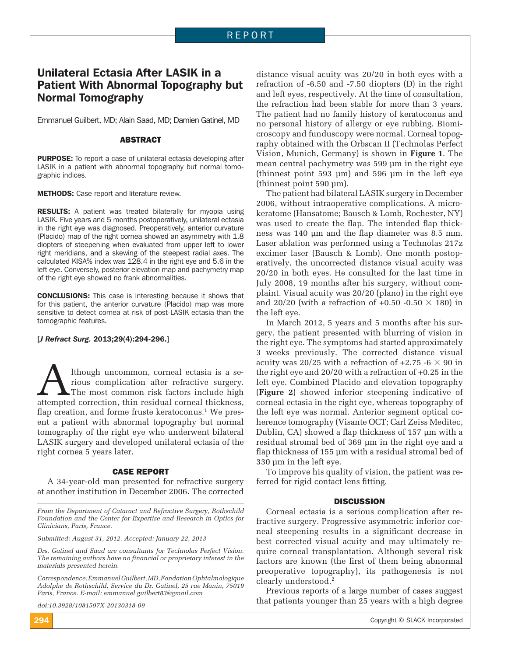# Unilateral Ectasia After LASIK in a Patient With Abnormal Topography but Normal Tomography

Emmanuel Guilbert, MD; Alain Saad, MD; Damien Gatinel, MD

#### ABSTRACT

PURPOSE: To report a case of unilateral ectasia developing after LASIK in a patient with abnormal topography but normal tomographic indices.

**METHODS:** Case report and literature review.

**RESULTS:** A patient was treated bilaterally for myopia using LASIK. Five years and 5 months postoperatively, unilateral ectasia in the right eye was diagnosed. Preoperatively, anterior curvature (Placido) map of the right cornea showed an asymmetry with 1.8 diopters of steepening when evaluated from upper left to lower right meridians, and a skewing of the steepest radial axes. The calculated KISA% index was 128.4 in the right eye and 5.6 in the left eye. Conversely, posterior elevation map and pachymetry map of the right eye showed no frank abnormalities.

CONCLUSIONS: This case is interesting because it shows that for this patient, the anterior curvature (Placido) map was more sensitive to detect cornea at risk of post-LASIK ectasia than the tomographic features.

#### [*J Refract Surg.* 2013;29(4):294-296.]

Although uncommon, corneal ectasia is a se-<br>rious complication after refractive surgery.<br>The most common risk factors include high<br>attempted correction, thin residual corneal thickness, rious complication after refractive surgery. The most common risk factors include high attempted correction, thin residual corneal thickness, flap creation, and forme fruste keratoconus.<sup>1</sup> We present a patient with abnormal topography but normal tomography of the right eye who underwent bilateral LASIK surgery and developed unilateral ectasia of the right cornea 5 years later.

#### CASE REPORT

A 34-year-old man presented for refractive surgery at another institution in December 2006. The corrected

*From the Department of Cataract and Refractive Surgery, Rothschild Foundation and the Center for Expertise and Research in Optics for Clinicians, Paris, France.*

*Submitted: August 31, 2012. Accepted: January 22, 2013*

*Drs. Gatinel and Saad are consultants for Technolas Perfect Vision. The remaining authors have no financial or proprietary interest in the materials presented herein.*

*Correspondence: Emmanuel Guilbert, MD, Fondation Ophtalmologique Adolphe de Rothschild, Service du Dr. Gatinel, 25 rue Manin, 75019 Paris, France. E-mail: emmanuel.guilbert83@gmail.com*

*doi:10.3928/1081597X-20130318-09*

distance visual acuity was 20/20 in both eyes with a refraction of -6.50 and -7.50 diopters (D) in the right and left eyes, respectively. At the time of consultation, the refraction had been stable for more than 3 years. The patient had no family history of keratoconus and no personal history of allergy or eye rubbing. Biomicroscopy and funduscopy were normal. Corneal topography obtained with the Orbscan II (Technolas Perfect Vision, Munich, Germany) is shown in **Figure 1**. The mean central pachymetry was 599 μm in the right eye (thinnest point 593 μm) and 596 μm in the left eye (thinnest point 590 μm).

The patient had bilateral LASIK surgery in December 2006, without intraoperative complications. A microkeratome (Hansatome; Bausch & Lomb, Rochester, NY) was used to create the flap. The intended flap thickness was 140 μm and the flap diameter was 8.5 mm. Laser ablation was performed using a Technolas 217z excimer laser (Bausch & Lomb). One month postoperatively, the uncorrected distance visual acuity was 20/20 in both eyes. He consulted for the last time in July 2008, 19 months after his surgery, without complaint. Visual acuity was 20/20 (plano) in the right eye and 20/20 (with a refraction of +0.50 -0.50  $\times$  180) in the left eye.

In March 2012, 5 years and 5 months after his surgery, the patient presented with blurring of vision in the right eye. The symptoms had started approximately 3 weeks previously. The corrected distance visual acuity was 20/25 with a refraction of +2.75 -6  $\times$  90 in the right eye and 20/20 with a refraction of +0.25 in the left eye. Combined Placido and elevation topography (**Figure 2**) showed inferior steepening indicative of corneal ectasia in the right eye, whereas topography of the left eye was normal. Anterior segment optical coherence tomography (Visante OCT; Carl Zeiss Meditec, Dublin, CA) showed a flap thickness of 157 μm with a residual stromal bed of 369 μm in the right eye and a flap thickness of  $155 \mu m$  with a residual stromal bed of 330 μm in the left eye.

To improve his quality of vision, the patient was referred for rigid contact lens fitting.

#### **DISCUSSION**

Corneal ectasia is a serious complication after refractive surgery. Progressive asymmetric inferior corneal steepening results in a significant decrease in best corrected visual acuity and may ultimately require corneal transplantation. Although several risk factors are known (the first of them being abnormal preoperative topography), its pathogenesis is not clearly understood.2

Previous reports of a large number of cases suggest that patients younger than 25 years with a high degree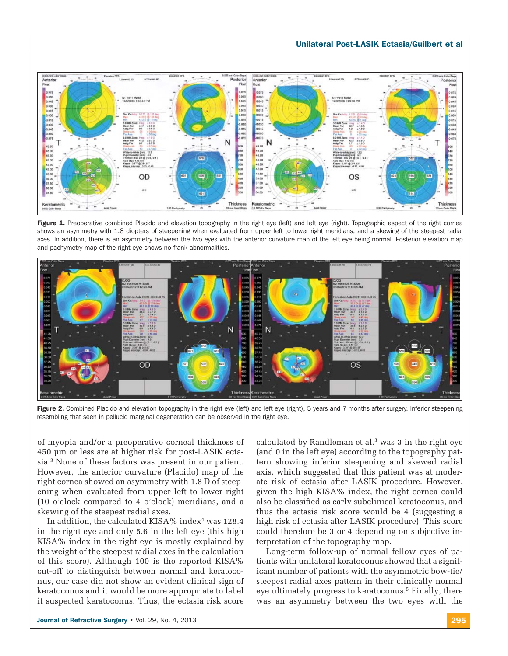# Unilateral Post-LASIK Ectasia/Guilbert et al



Figure 1. Preoperative combined Placido and elevation topography in the right eye (left) and left eye (right). Topographic aspect of the right cornea shows an asymmetry with 1.8 diopters of steepening when evaluated from upper left to lower right meridians, and a skewing of the steepest radial axes. In addition, there is an asymmetry between the two eyes with the anterior curvature map of the left eye being normal. Posterior elevation map and pachymetry map of the right eye shows no frank abnormalities.



Figure 2. Combined Placido and elevation topography in the right eye (left) and left eye (right), 5 years and 7 months after surgery. Inferior steepening resembling that seen in pellucid marginal degeneration can be observed in the right eye.

of myopia and/or a preoperative corneal thickness of 450 μm or less are at higher risk for post-LASIK ectasia.3 None of these factors was present in our patient. However, the anterior curvature (Placido) map of the right cornea showed an asymmetry with 1.8 D of steepening when evaluated from upper left to lower right (10 o'clock compared to 4 o'clock) meridians, and a skewing of the steepest radial axes.

In addition, the calculated KISA% index $4$  was 128.4 in the right eye and only 5.6 in the left eye (this high KISA% index in the right eye is mostly explained by the weight of the steepest radial axes in the calculation of this score). Although 100 is the reported KISA% cut-off to distinguish between normal and keratoconus, our case did not show an evident clinical sign of keratoconus and it would be more appropriate to label it suspected keratoconus. Thus, the ectasia risk score

calculated by Randleman et al.<sup>3</sup> was 3 in the right eye (and 0 in the left eye) according to the topography pattern showing inferior steepening and skewed radial axis, which suggested that this patient was at moderate risk of ectasia after LASIK procedure. However, given the high KISA% index, the right cornea could also be classified as early subclinical keratoconus, and thus the ectasia risk score would be 4 (suggesting a high risk of ectasia after LASIK procedure). This score could therefore be 3 or 4 depending on subjective interpretation of the topography map.

Long-term follow-up of normal fellow eyes of patients with unilateral keratoconus showed that a significant number of patients with the asymmetric bow-tie/ steepest radial axes pattern in their clinically normal eye ultimately progress to keratoconus.<sup>5</sup> Finally, there was an asymmetry between the two eyes with the